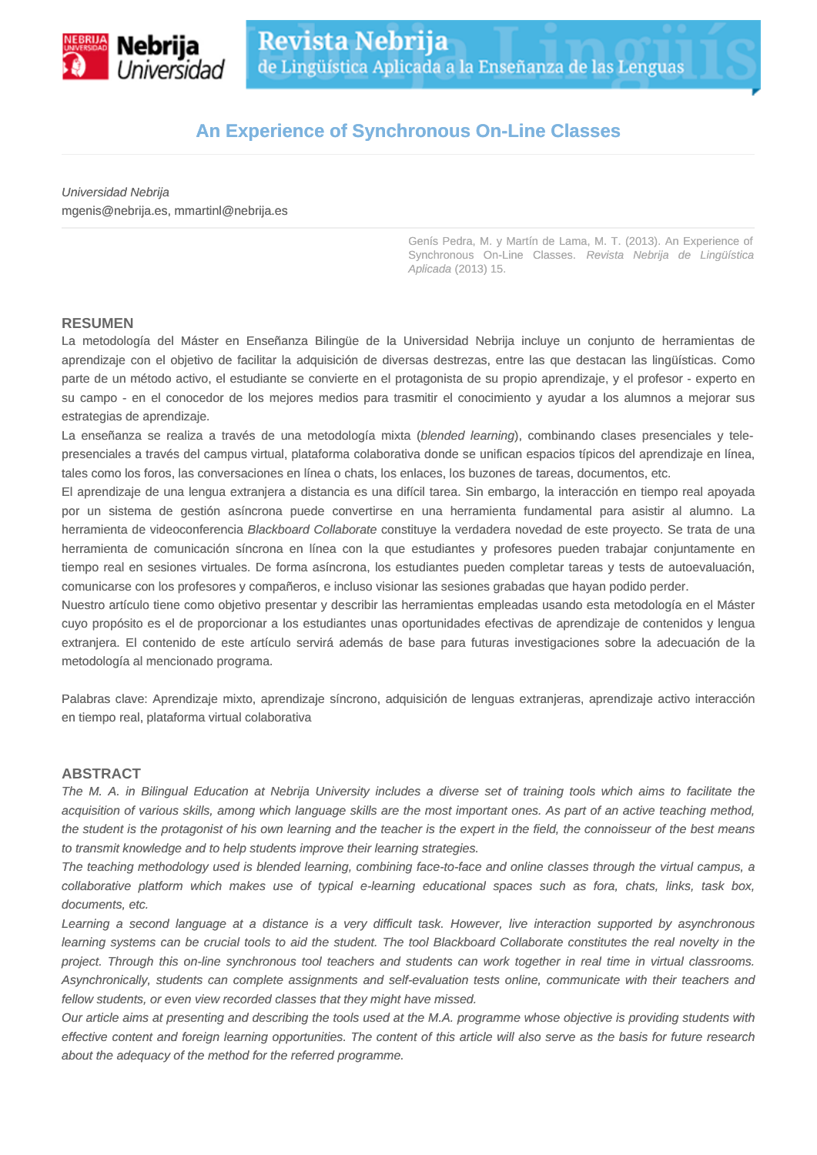

# **An Experience of Synchronous On-Line Classes**

Universidad Nebrija mgenis@nebrija.es, mmartinl@nebrija.es

> Genís Pedra, M. y Martín de Lama, M. T. (2013). An Experience of Synchronous On-Line Classes. Revista Nebrija de Lingüística Aplicada (2013) 15.

#### **RESUMEN**

La metodología del Máster en Enseñanza Bilingüe de la Universidad Nebrija incluye un conjunto de herramientas de aprendizaje con el objetivo de facilitar la adquisición de diversas destrezas, entre las que destacan las lingüísticas. Como parte de un método activo, el estudiante se convierte en el protagonista de su propio aprendizaje, y el profesor - experto en su campo - en el conocedor de los mejores medios para trasmitir el conocimiento y ayudar a los alumnos a mejorar sus estrategias de aprendizaje.

La enseñanza se realiza a través de una metodología mixta (blended learning), combinando clases presenciales y telepresenciales a través del campus virtual, plataforma colaborativa donde se unifican espacios típicos del aprendizaje en línea, tales como los foros, las conversaciones en línea o chats, los enlaces, los buzones de tareas, documentos, etc.

El aprendizaje de una lengua extranjera a distancia es una difícil tarea. Sin embargo, la interacción en tiempo real apoyada por un sistema de gestión asíncrona puede convertirse en una herramienta fundamental para asistir al alumno. La herramienta de videoconferencia Blackboard Collaborate constituye la verdadera novedad de este proyecto. Se trata de una herramienta de comunicación síncrona en línea con la que estudiantes y profesores pueden trabajar conjuntamente en tiempo real en sesiones virtuales. De forma asíncrona, los estudiantes pueden completar tareas y tests de autoevaluación, comunicarse con los profesores y compañeros, e incluso visionar las sesiones grabadas que hayan podido perder.

Nuestro artículo tiene como objetivo presentar y describir las herramientas empleadas usando esta metodología en el Máster cuyo propósito es el de proporcionar a los estudiantes unas oportunidades efectivas de aprendizaje de contenidos y lengua extranjera. El contenido de este artículo servirá además de base para futuras investigaciones sobre la adecuación de la metodología al mencionado programa.

Palabras clave: Aprendizaje mixto, aprendizaje síncrono, adquisición de lenguas extranjeras, aprendizaje activo interacción en tiempo real, plataforma virtual colaborativa

#### **ABSTRACT**

The M. A. in Bilingual Education at Nebrija University includes a diverse set of training tools which aims to facilitate the acquisition of various skills, among which language skills are the most important ones. As part of an active teaching method, the student is the protagonist of his own learning and the teacher is the expert in the field, the connoisseur of the best means to transmit knowledge and to help students improve their learning strategies.

The teaching methodology used is blended learning, combining face-to-face and online classes through the virtual campus, a collaborative platform which makes use of typical e-learning educational spaces such as fora, chats, links, task box, documents, etc.

Learning a second language at a distance is a very difficult task. However, live interaction supported by asynchronous learning systems can be crucial tools to aid the student. The tool Blackboard Collaborate constitutes the real novelty in the project. Through this on-line synchronous tool teachers and students can work together in real time in virtual classrooms. Asynchronically, students can complete assignments and self-evaluation tests online, communicate with their teachers and fellow students, or even view recorded classes that they might have missed.

Our article aims at presenting and describing the tools used at the M.A. programme whose objective is providing students with effective content and foreign learning opportunities. The content of this article will also serve as the basis for future research about the adequacy of the method for the referred programme.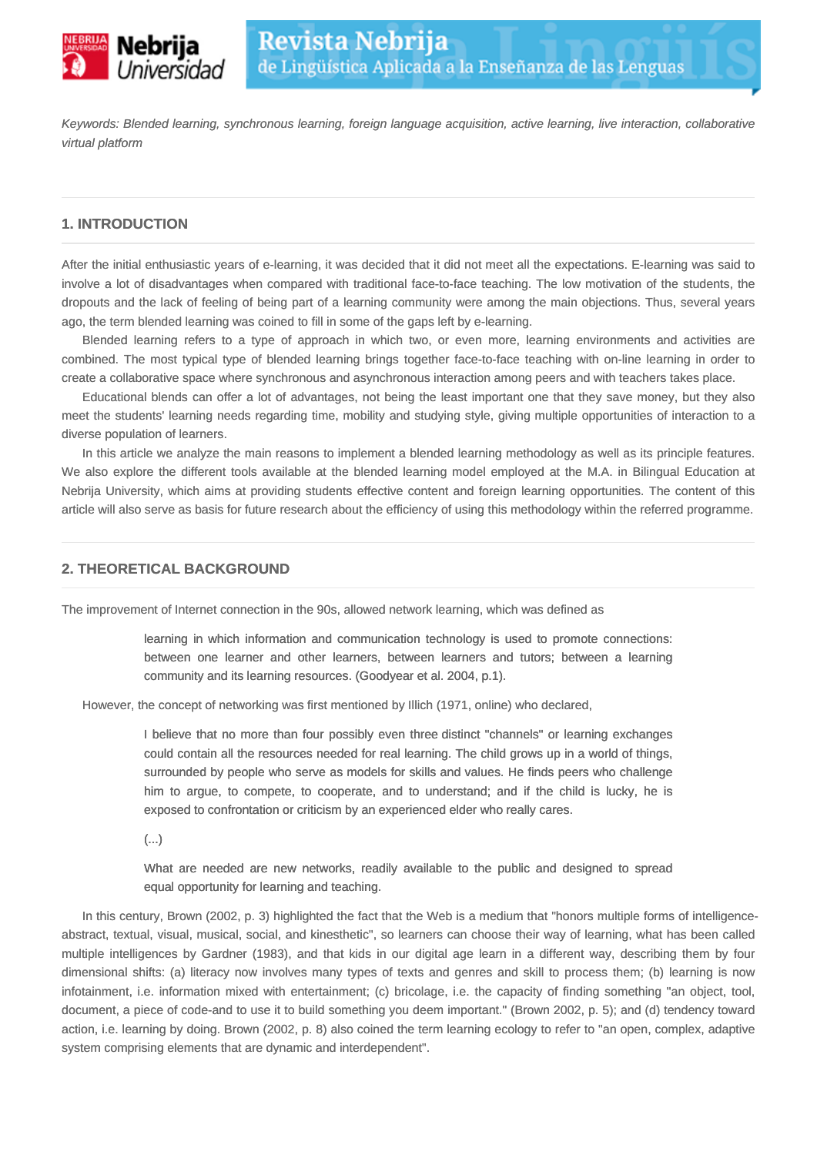

Keywords: Blended learning, synchronous learning, foreign language acquisition, active learning, live interaction, collaborative virtual platform

## **1. INTRODUCTION**

After the initial enthusiastic years of e-learning, it was decided that it did not meet all the expectations. E-learning was said to involve a lot of disadvantages when compared with traditional face-to-face teaching. The low motivation of the students, the dropouts and the lack of feeling of being part of a learning community were among the main objections. Thus, several years ago, the term blended learning was coined to fill in some of the gaps left by e-learning.

Blended learning refers to a type of approach in which two, or even more, learning environments and activities are combined. The most typical type of blended learning brings together face-to-face teaching with on-line learning in order to create a collaborative space where synchronous and asynchronous interaction among peers and with teachers takes place.

Educational blends can offer a lot of advantages, not being the least important one that they save money, but they also meet the students' learning needs regarding time, mobility and studying style, giving multiple opportunities of interaction to a diverse population of learners.

In this article we analyze the main reasons to implement a blended learning methodology as well as its principle features. We also explore the different tools available at the blended learning model employed at the M.A. in Bilingual Education at Nebrija University, which aims at providing students effective content and foreign learning opportunities. The content of this article will also serve as basis for future research about the efficiency of using this methodology within the referred programme.

## **2. THEORETICAL BACKGROUND**

The improvement of Internet connection in the 90s, allowed network learning, which was defined as

learning in which information and communication technology is used to promote connections: between one learner and other learners, between learners and tutors; between a learning community and its learning resources. (Goodyear et al. 2004, p.1).

However, the concept of networking was first mentioned by Illich (1971, online) who declared,

I believe that no more than four possibly even three distinct "channels" or learning exchanges could contain all the resources needed for real learning. The child grows up in a world of things, surrounded by people who serve as models for skills and values. He finds peers who challenge him to argue, to compete, to cooperate, and to understand; and if the child is lucky, he is exposed to confrontation or criticism by an experienced elder who really cares.

(...)

What are needed are new networks, readily available to the public and designed to spread equal opportunity for learning and teaching.

In this century, Brown (2002, p. 3) highlighted the fact that the Web is a medium that "honors multiple forms of intelligenceabstract, textual, visual, musical, social, and kinesthetic", so learners can choose their way of learning, what has been called multiple intelligences by Gardner (1983), and that kids in our digital age learn in a different way, describing them by four dimensional shifts: (a) literacy now involves many types of texts and genres and skill to process them; (b) learning is now infotainment, i.e. information mixed with entertainment; (c) bricolage, i.e. the capacity of finding something "an object, tool, document, a piece of code-and to use it to build something you deem important." (Brown 2002, p. 5); and (d) tendency toward action, i.e. learning by doing. Brown (2002, p. 8) also coined the term learning ecology to refer to "an open, complex, adaptive system comprising elements that are dynamic and interdependent".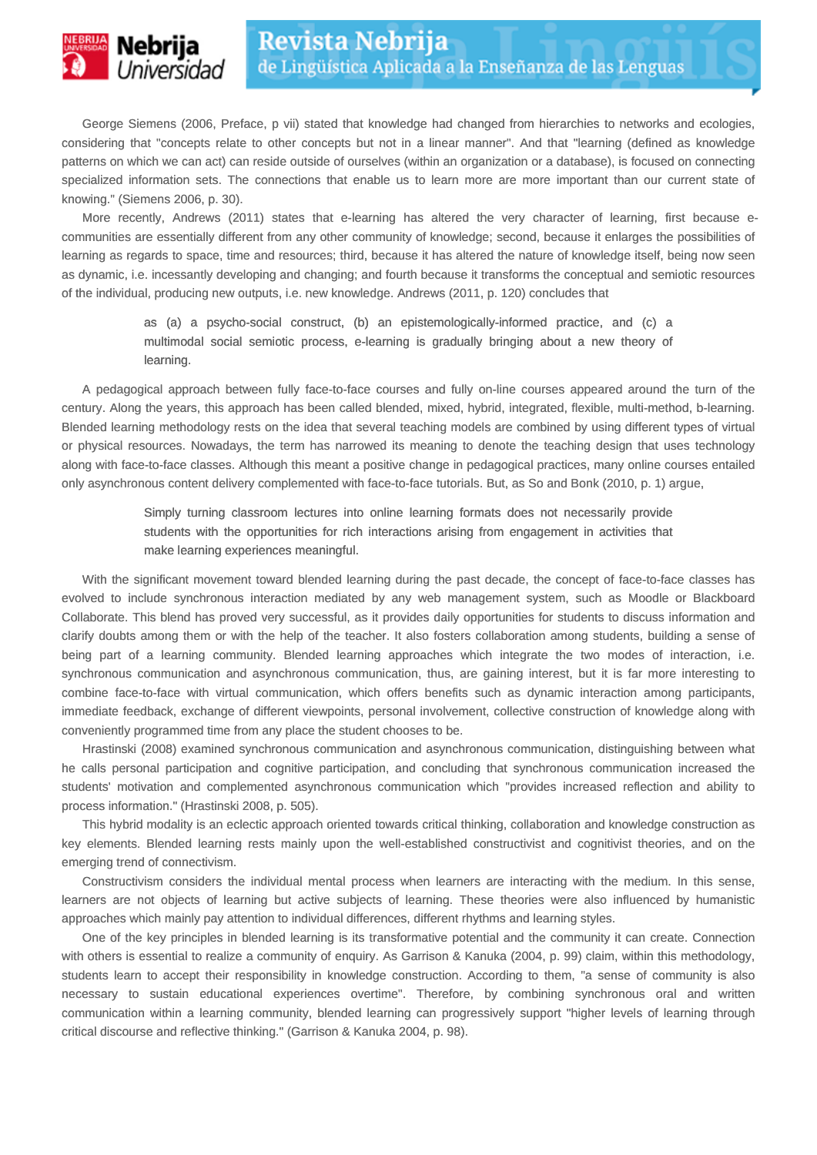

George Siemens (2006, Preface, p vii) stated that knowledge had changed from hierarchies to networks and ecologies, considering that "concepts relate to other concepts but not in a linear manner". And that "learning (defined as knowledge patterns on which we can act) can reside outside of ourselves (within an organization or a database), is focused on connecting specialized information sets. The connections that enable us to learn more are more important than our current state of knowing." (Siemens 2006, p. 30).

More recently, Andrews (2011) states that e-learning has altered the very character of learning, first because ecommunities are essentially different from any other community of knowledge; second, because it enlarges the possibilities of learning as regards to space, time and resources; third, because it has altered the nature of knowledge itself, being now seen as dynamic, i.e. incessantly developing and changing; and fourth because it transforms the conceptual and semiotic resources of the individual, producing new outputs, i.e. new knowledge. Andrews (2011, p. 120) concludes that

> as (a) a psycho-social construct, (b) an epistemologically-informed practice, and (c) a multimodal social semiotic process, e-learning is gradually bringing about a new theory of learning.

A pedagogical approach between fully face-to-face courses and fully on-line courses appeared around the turn of the century. Along the years, this approach has been called blended, mixed, hybrid, integrated, flexible, multi-method, b-learning. Blended learning methodology rests on the idea that several teaching models are combined by using different types of virtual or physical resources. Nowadays, the term has narrowed its meaning to denote the teaching design that uses technology along with face-to-face classes. Although this meant a positive change in pedagogical practices, many online courses entailed only asynchronous content delivery complemented with face-to-face tutorials. But, as So and Bonk (2010, p. 1) argue,

> Simply turning classroom lectures into online learning formats does not necessarily provide students with the opportunities for rich interactions arising from engagement in activities that make learning experiences meaningful.

With the significant movement toward blended learning during the past decade, the concept of face-to-face classes has evolved to include synchronous interaction mediated by any web management system, such as Moodle or Blackboard Collaborate. This blend has proved very successful, as it provides daily opportunities for students to discuss information and clarify doubts among them or with the help of the teacher. It also fosters collaboration among students, building a sense of being part of a learning community. Blended learning approaches which integrate the two modes of interaction, i.e. synchronous communication and asynchronous communication, thus, are gaining interest, but it is far more interesting to combine face-to-face with virtual communication, which offers benefits such as dynamic interaction among participants, immediate feedback, exchange of different viewpoints, personal involvement, collective construction of knowledge along with conveniently programmed time from any place the student chooses to be.

Hrastinski (2008) examined synchronous communication and asynchronous communication, distinguishing between what he calls personal participation and cognitive participation, and concluding that synchronous communication increased the students' motivation and complemented asynchronous communication which "provides increased reflection and ability to process information." (Hrastinski 2008, p. 505).

This hybrid modality is an eclectic approach oriented towards critical thinking, collaboration and knowledge construction as key elements. Blended learning rests mainly upon the well-established constructivist and cognitivist theories, and on the emerging trend of connectivism.

Constructivism considers the individual mental process when learners are interacting with the medium. In this sense, learners are not objects of learning but active subjects of learning. These theories were also influenced by humanistic approaches which mainly pay attention to individual differences, different rhythms and learning styles.

One of the key principles in blended learning is its transformative potential and the community it can create. Connection with others is essential to realize a community of enquiry. As Garrison & Kanuka (2004, p. 99) claim, within this methodology, students learn to accept their responsibility in knowledge construction. According to them, "a sense of community is also necessary to sustain educational experiences overtime". Therefore, by combining synchronous oral and written communication within a learning community, blended learning can progressively support "higher levels of learning through critical discourse and reflective thinking." (Garrison & Kanuka 2004, p. 98).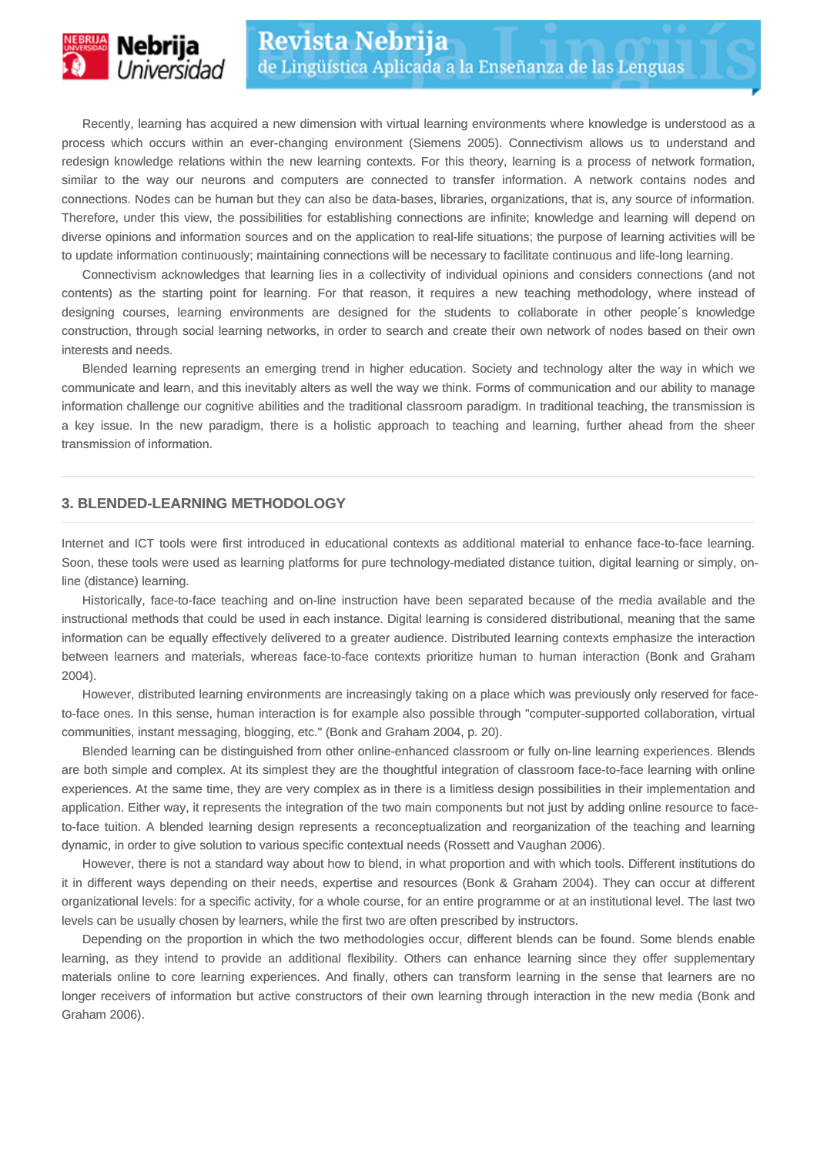

Recently, learning has acquired a new dimension with virtual learning environments where knowledge is understood as a process which occurs within an ever-changing environment (Siemens 2005). Connectivism allows us to understand and redesign knowledge relations within the new learning contexts. For this theory, learning is a process of network formation, similar to the way our neurons and computers are connected to transfer information. A network contains nodes and connections. Nodes can be human but they can also be data-bases, libraries, organizations, that is, any source of information. Therefore, under this view, the possibilities for establishing connections are infinite; knowledge and learning will depend on diverse opinions and information sources and on the application to real-life situations; the purpose of learning activities will be to update information continuously; maintaining connections will be necessary to facilitate continuous and life-long learning.

Connectivism acknowledges that learning lies in a collectivity of individual opinions and considers connections (and not contents) as the starting point for learning. For that reason, it requires a new teaching methodology, where instead of designing courses, learning environments are designed for the students to collaborate in other people´s knowledge construction, through social learning networks, in order to search and create their own network of nodes based on their own interests and needs.

Blended learning represents an emerging trend in higher education. Society and technology alter the way in which we communicate and learn, and this inevitably alters as well the way we think. Forms of communication and our ability to manage information challenge our cognitive abilities and the traditional classroom paradigm. In traditional teaching, the transmission is a key issue. In the new paradigm, there is a holistic approach to teaching and learning, further ahead from the sheer transmission of information.

## **3. BLENDED-LEARNING METHODOLOGY**

Internet and ICT tools were first introduced in educational contexts as additional material to enhance face-to-face learning. Soon, these tools were used as learning platforms for pure technology-mediated distance tuition, digital learning or simply, online (distance) learning.

Historically, face-to-face teaching and on-line instruction have been separated because of the media available and the instructional methods that could be used in each instance. Digital learning is considered distributional, meaning that the same information can be equally effectively delivered to a greater audience. Distributed learning contexts emphasize the interaction between learners and materials, whereas face-to-face contexts prioritize human to human interaction (Bonk and Graham 2004).

However, distributed learning environments are increasingly taking on a place which was previously only reserved for faceto-face ones. In this sense, human interaction is for example also possible through "computer-supported collaboration, virtual communities, instant messaging, blogging, etc." (Bonk and Graham 2004, p. 20).

Blended learning can be distinguished from other online-enhanced classroom or fully on-line learning experiences. Blends are both simple and complex. At its simplest they are the thoughtful integration of classroom face-to-face learning with online experiences. At the same time, they are very complex as in there is a limitless design possibilities in their implementation and application. Either way, it represents the integration of the two main components but not just by adding online resource to faceto-face tuition. A blended learning design represents a reconceptualization and reorganization of the teaching and learning dynamic, in order to give solution to various specific contextual needs (Rossett and Vaughan 2006).

However, there is not a standard way about how to blend, in what proportion and with which tools. Different institutions do it in different ways depending on their needs, expertise and resources (Bonk & Graham 2004). They can occur at different organizational levels: for a specific activity, for a whole course, for an entire programme or at an institutional level. The last two levels can be usually chosen by learners, while the first two are often prescribed by instructors.

Depending on the proportion in which the two methodologies occur, different blends can be found. Some blends enable learning, as they intend to provide an additional flexibility. Others can enhance learning since they offer supplementary materials online to core learning experiences. And finally, others can transform learning in the sense that learners are no longer receivers of information but active constructors of their own learning through interaction in the new media (Bonk and Graham 2006).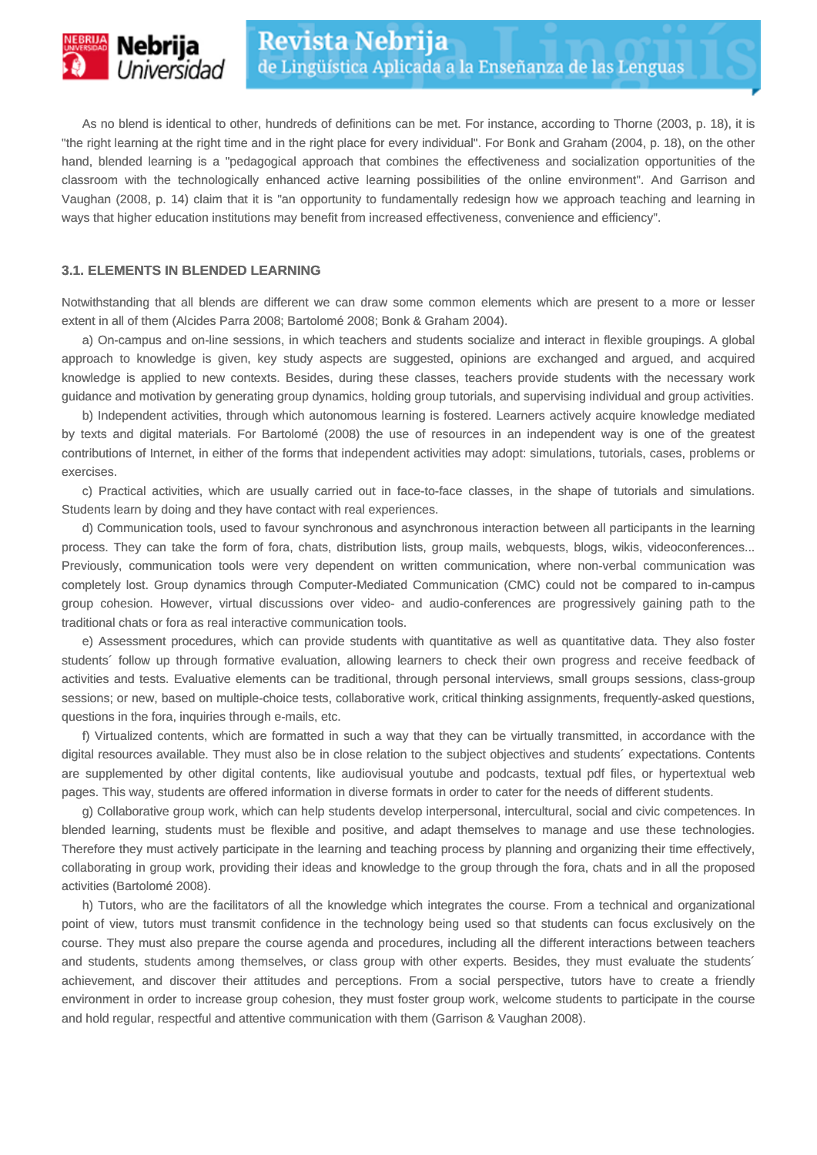

As no blend is identical to other, hundreds of definitions can be met. For instance, according to Thorne (2003, p. 18), it is "the right learning at the right time and in the right place for every individual". For Bonk and Graham (2004, p. 18), on the other hand, blended learning is a "pedagogical approach that combines the effectiveness and socialization opportunities of the classroom with the technologically enhanced active learning possibilities of the online environment". And Garrison and Vaughan (2008, p. 14) claim that it is "an opportunity to fundamentally redesign how we approach teaching and learning in ways that higher education institutions may benefit from increased effectiveness, convenience and efficiency".

#### **3.1. ELEMENTS IN BLENDED LEARNING**

Notwithstanding that all blends are different we can draw some common elements which are present to a more or lesser extent in all of them (Alcides Parra 2008; Bartolomé 2008; Bonk & Graham 2004).

a) On-campus and on-line sessions, in which teachers and students socialize and interact in flexible groupings. A global approach to knowledge is given, key study aspects are suggested, opinions are exchanged and argued, and acquired knowledge is applied to new contexts. Besides, during these classes, teachers provide students with the necessary work guidance and motivation by generating group dynamics, holding group tutorials, and supervising individual and group activities.

b) Independent activities, through which autonomous learning is fostered. Learners actively acquire knowledge mediated by texts and digital materials. For Bartolomé (2008) the use of resources in an independent way is one of the greatest contributions of Internet, in either of the forms that independent activities may adopt: simulations, tutorials, cases, problems or exercises.

c) Practical activities, which are usually carried out in face-to-face classes, in the shape of tutorials and simulations. Students learn by doing and they have contact with real experiences.

d) Communication tools, used to favour synchronous and asynchronous interaction between all participants in the learning process. They can take the form of fora, chats, distribution lists, group mails, webquests, blogs, wikis, videoconferences... Previously, communication tools were very dependent on written communication, where non-verbal communication was completely lost. Group dynamics through Computer-Mediated Communication (CMC) could not be compared to in-campus group cohesion. However, virtual discussions over video- and audio-conferences are progressively gaining path to the traditional chats or fora as real interactive communication tools.

e) Assessment procedures, which can provide students with quantitative as well as quantitative data. They also foster students´ follow up through formative evaluation, allowing learners to check their own progress and receive feedback of activities and tests. Evaluative elements can be traditional, through personal interviews, small groups sessions, class-group sessions; or new, based on multiple-choice tests, collaborative work, critical thinking assignments, frequently-asked questions, questions in the fora, inquiries through e-mails, etc.

f) Virtualized contents, which are formatted in such a way that they can be virtually transmitted, in accordance with the digital resources available. They must also be in close relation to the subject objectives and students´ expectations. Contents are supplemented by other digital contents, like audiovisual youtube and podcasts, textual pdf files, or hypertextual web pages. This way, students are offered information in diverse formats in order to cater for the needs of different students.

g) Collaborative group work, which can help students develop interpersonal, intercultural, social and civic competences. In blended learning, students must be flexible and positive, and adapt themselves to manage and use these technologies. Therefore they must actively participate in the learning and teaching process by planning and organizing their time effectively, collaborating in group work, providing their ideas and knowledge to the group through the fora, chats and in all the proposed activities (Bartolomé 2008).

h) Tutors, who are the facilitators of all the knowledge which integrates the course. From a technical and organizational point of view, tutors must transmit confidence in the technology being used so that students can focus exclusively on the course. They must also prepare the course agenda and procedures, including all the different interactions between teachers and students, students among themselves, or class group with other experts. Besides, they must evaluate the students´ achievement, and discover their attitudes and perceptions. From a social perspective, tutors have to create a friendly environment in order to increase group cohesion, they must foster group work, welcome students to participate in the course and hold regular, respectful and attentive communication with them (Garrison & Vaughan 2008).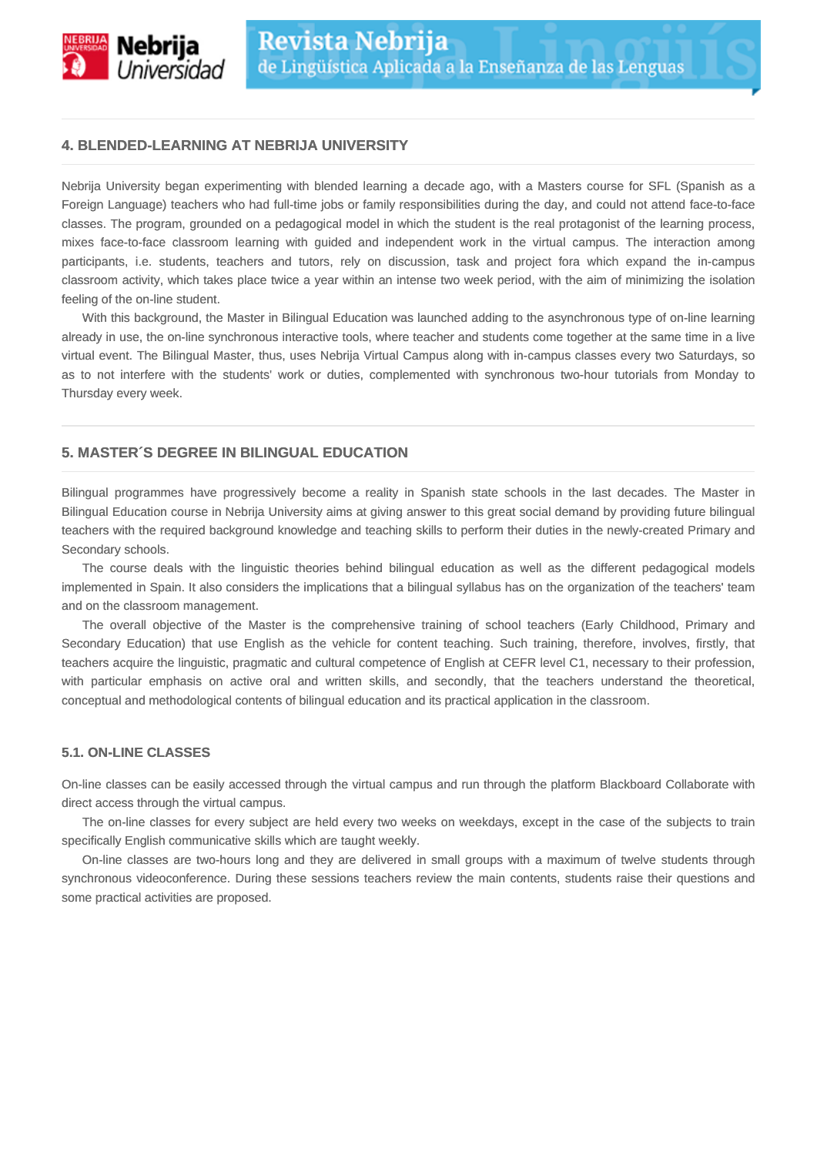

# **4. BLENDED-LEARNING AT NEBRIJA UNIVERSITY**

Nebrija University began experimenting with blended learning a decade ago, with a Masters course for SFL (Spanish as a Foreign Language) teachers who had full-time jobs or family responsibilities during the day, and could not attend face-to-face classes. The program, grounded on a pedagogical model in which the student is the real protagonist of the learning process, mixes face-to-face classroom learning with guided and independent work in the virtual campus. The interaction among participants, i.e. students, teachers and tutors, rely on discussion, task and project fora which expand the in-campus classroom activity, which takes place twice a year within an intense two week period, with the aim of minimizing the isolation feeling of the on-line student.

With this background, the Master in Bilingual Education was launched adding to the asynchronous type of on-line learning already in use, the on-line synchronous interactive tools, where teacher and students come together at the same time in a live virtual event. The Bilingual Master, thus, uses Nebrija Virtual Campus along with in-campus classes every two Saturdays, so as to not interfere with the students' work or duties, complemented with synchronous two-hour tutorials from Monday to Thursday every week.

## **5. MASTER´S DEGREE IN BILINGUAL EDUCATION**

Bilingual programmes have progressively become a reality in Spanish state schools in the last decades. The Master in Bilingual Education course in Nebrija University aims at giving answer to this great social demand by providing future bilingual teachers with the required background knowledge and teaching skills to perform their duties in the newly-created Primary and Secondary schools.

The course deals with the linguistic theories behind bilingual education as well as the different pedagogical models implemented in Spain. It also considers the implications that a bilingual syllabus has on the organization of the teachers' team and on the classroom management.

The overall objective of the Master is the comprehensive training of school teachers (Early Childhood, Primary and Secondary Education) that use English as the vehicle for content teaching. Such training, therefore, involves, firstly, that teachers acquire the linguistic, pragmatic and cultural competence of English at CEFR level C1, necessary to their profession, with particular emphasis on active oral and written skills, and secondly, that the teachers understand the theoretical, conceptual and methodological contents of bilingual education and its practical application in the classroom.

## **5.1. ON-LINE CLASSES**

On-line classes can be easily accessed through the virtual campus and run through the platform Blackboard Collaborate with direct access through the virtual campus.

The on-line classes for every subject are held every two weeks on weekdays, except in the case of the subjects to train specifically English communicative skills which are taught weekly.

On-line classes are two-hours long and they are delivered in small groups with a maximum of twelve students through synchronous videoconference. During these sessions teachers review the main contents, students raise their questions and some practical activities are proposed.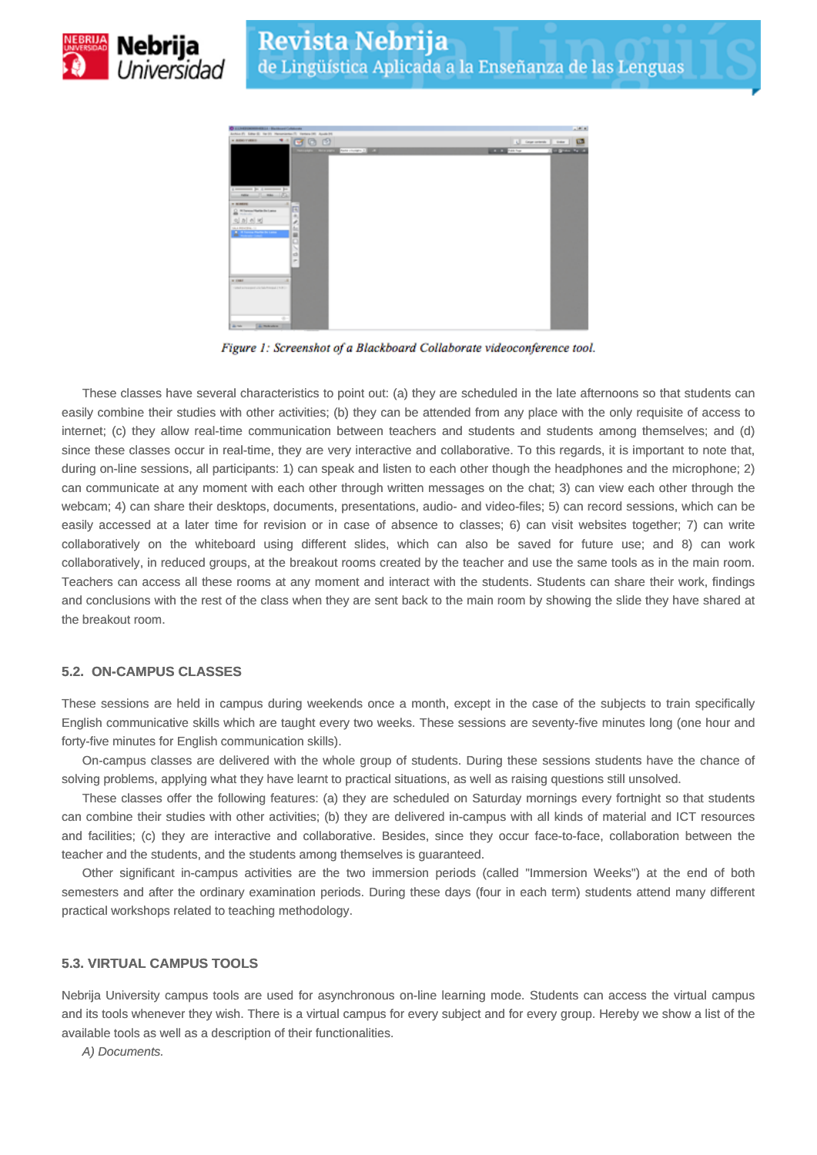



Figure 1: Screenshot of a Blackboard Collaborate videoconference tool.

These classes have several characteristics to point out: (a) they are scheduled in the late afternoons so that students can easily combine their studies with other activities; (b) they can be attended from any place with the only requisite of access to internet; (c) they allow real-time communication between teachers and students and students among themselves; and (d) since these classes occur in real-time, they are very interactive and collaborative. To this regards, it is important to note that, during on-line sessions, all participants: 1) can speak and listen to each other though the headphones and the microphone; 2) can communicate at any moment with each other through written messages on the chat; 3) can view each other through the webcam; 4) can share their desktops, documents, presentations, audio- and video-files; 5) can record sessions, which can be easily accessed at a later time for revision or in case of absence to classes; 6) can visit websites together; 7) can write collaboratively on the whiteboard using different slides, which can also be saved for future use; and 8) can work collaboratively, in reduced groups, at the breakout rooms created by the teacher and use the same tools as in the main room. Teachers can access all these rooms at any moment and interact with the students. Students can share their work, findings and conclusions with the rest of the class when they are sent back to the main room by showing the slide they have shared at the breakout room.

# **5.2. ON-CAMPUS CLASSES**

These sessions are held in campus during weekends once a month, except in the case of the subjects to train specifically English communicative skills which are taught every two weeks. These sessions are seventy-five minutes long (one hour and forty-five minutes for English communication skills).

On-campus classes are delivered with the whole group of students. During these sessions students have the chance of solving problems, applying what they have learnt to practical situations, as well as raising questions still unsolved.

These classes offer the following features: (a) they are scheduled on Saturday mornings every fortnight so that students can combine their studies with other activities; (b) they are delivered in-campus with all kinds of material and ICT resources and facilities; (c) they are interactive and collaborative. Besides, since they occur face-to-face, collaboration between the teacher and the students, and the students among themselves is guaranteed.

Other significant in-campus activities are the two immersion periods (called "Immersion Weeks") at the end of both semesters and after the ordinary examination periods. During these days (four in each term) students attend many different practical workshops related to teaching methodology.

## **5.3. VIRTUAL CAMPUS TOOLS**

Nebrija University campus tools are used for asynchronous on-line learning mode. Students can access the virtual campus and its tools whenever they wish. There is a virtual campus for every subject and for every group. Hereby we show a list of the available tools as well as a description of their functionalities.

A) Documents.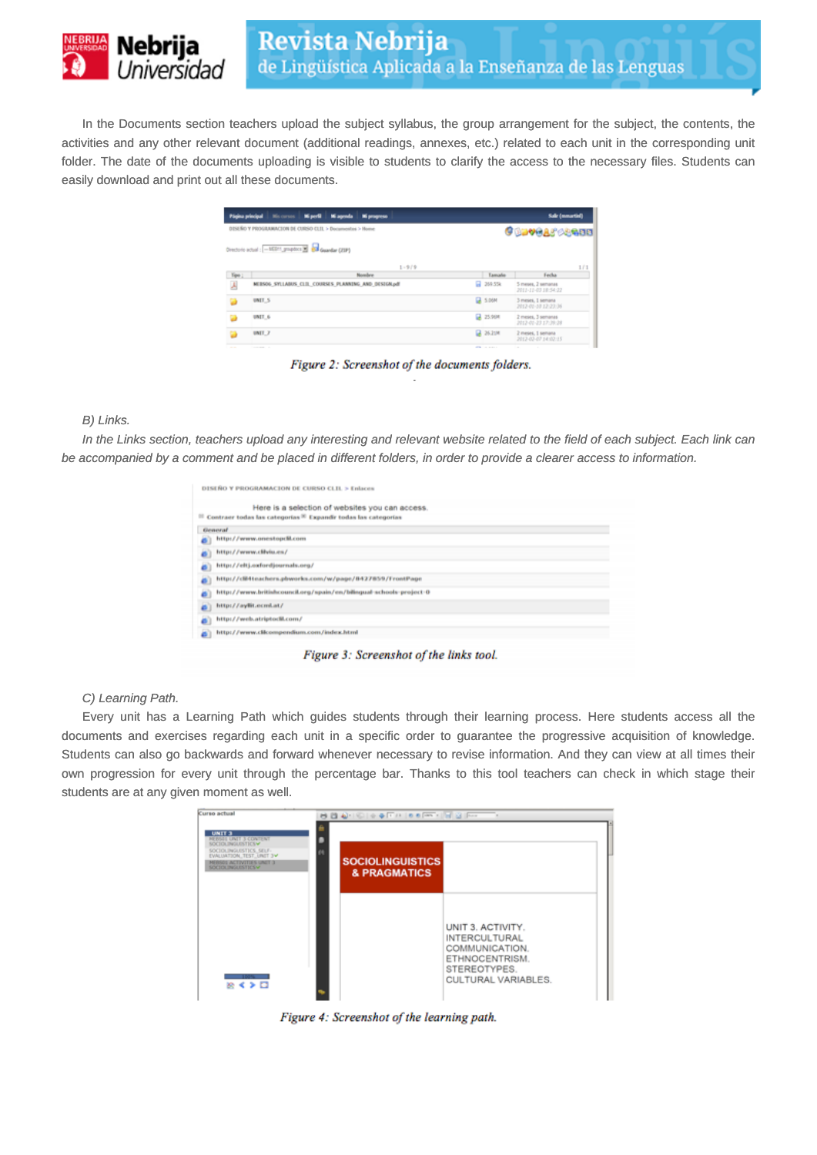

In the Documents section teachers upload the subject syllabus, the group arrangement for the subject, the contents, the activities and any other relevant document (additional readings, annexes, etc.) related to each unit in the corresponding unit folder. The date of the documents uploading is visible to students to clarify the access to the necessary files. Students can easily download and print out all these documents.

| Página principal | Mi perfil<br>Mi agenda Mi progreso<br>Mis cursos           |                     | Sale (meartin)                            |
|------------------|------------------------------------------------------------|---------------------|-------------------------------------------|
|                  | DISEÑO Y PROGRAMACION DE CURSO CLIL > Decumentos > Home    |                     | <b>Gudvea</b> scann                       |
|                  | Directorio actual : - MSP1_gropdics [M] esa Guarday (2191) |                     |                                           |
|                  | $1 - 9/9$                                                  |                     | 1/1                                       |
| Tipe 1           | Nombre                                                     | Tamador             | Fecha                                     |
| А                | MERSOS SYLLABUS CLIL COURSES PLANNING AND DESIGN.pdf       | <b>L2 269.55k</b>   | 5 meses. 2 semanas<br>2011-11-03 18:54:22 |
|                  | UNIT_5                                                     | <b>EA 5.06M</b>     | 3 meses, 1 semana<br>2012-00-10 12:23:36  |
| в                | UNIT_6                                                     | <b>25,968</b>       | 2 meses, 3 semanas<br>2012-02-23 17:39:28 |
|                  | UNIT 7                                                     | <b>Q</b> 26,21M     | 2 meses, 1 semana<br>2012-02-07 14:02:15  |
|                  | the property of the con-                                   | and the second con- | the contract of the contract of the con-  |

Figure 2: Screenshot of the documents folders.

#### B) Links.

In the Links section, teachers upload any interesting and relevant website related to the field of each subject. Each link can be accompanied by a comment and be placed in different folders, in order to provide a clearer access to information.

|    | DISEÑO Y PROGRAMACION DE CURSO CLIL > Enlaces                                                                                              |
|----|--------------------------------------------------------------------------------------------------------------------------------------------|
|    | Here is a selection of websites you can access.<br><sup>81</sup> Contraer todas las categorias <sup>30</sup> Expandir todas las categorias |
|    | General                                                                                                                                    |
|    | http://www.onestopdil.com                                                                                                                  |
|    | http://www.clilviu.es/                                                                                                                     |
|    | http://eltj.corfordjournals.org/                                                                                                           |
|    | http://clil-tteachers.pbworks.com/w/page/8427859/FrontPage                                                                                 |
|    | http://www.britishcouncil.org/spain/en/bilingual-schools-project-0                                                                         |
|    | http://ayliit.ecml.at/                                                                                                                     |
| ö  | http://web.atriptodil.com/                                                                                                                 |
| a) | http://www.clicompendium.com/index.html                                                                                                    |

Figure 3: Screenshot of the links tool.

#### C) Learning Path.

Every unit has a Learning Path which guides students through their learning process. Here students access all the documents and exercises regarding each unit in a specific order to guarantee the progressive acquisition of knowledge. Students can also go backwards and forward whenever necessary to revise information. And they can view at all times their own progression for every unit through the percentage bar. Thanks to this tool teachers can check in which stage their students are at any given moment as well.

| Curso actual                                                                                                                                                        |                                         | <b>BBAHGIO O FINO O FINO</b>                                                  |  |
|---------------------------------------------------------------------------------------------------------------------------------------------------------------------|-----------------------------------------|-------------------------------------------------------------------------------|--|
| <b>UNIT 3</b><br>REBSIS UNIT 3 CONTENT<br>SOCIOLINGUESTICS V<br>SOCIOLINGUISTICS SELF-<br>EVALUATION_TEST_UNIT 3W<br>MERSOS ACTIVITIES UNIT 3<br>SOCIOLINGUISTICS V | <b>SOCIOLINGUISTICS</b><br>& PRAGMATICS |                                                                               |  |
|                                                                                                                                                                     |                                         | UNIT 3. ACTIVITY.<br><b>INTERCULTURAL</b><br>COMMUNICATION.<br>ETHNOCENTRISM. |  |
| <b>TIME</b><br>除くを回                                                                                                                                                 |                                         | STEREOTYPES.<br>CULTURAL VARIABLES.                                           |  |

Figure 4: Screenshot of the learning path.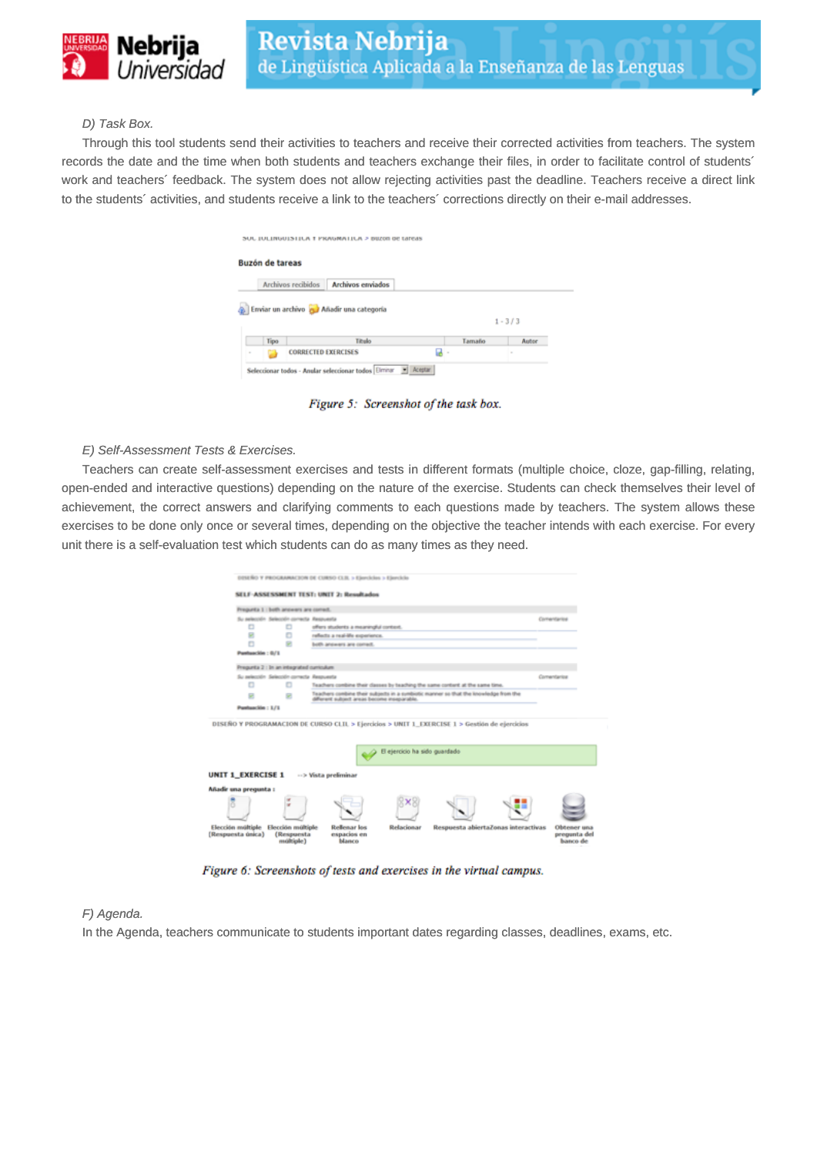

## D) Task Box.

Through this tool students send their activities to teachers and receive their corrected activities from teachers. The system records the date and the time when both students and teachers exchange their files, in order to facilitate control of students´ work and teachers´ feedback. The system does not allow rejecting activities past the deadline. Teachers receive a direct link to the students´ activities, and students receive a link to the teachers´ corrections directly on their e-mail addresses.

| <b>Buzón de tareas</b>                                      |        |                    |
|-------------------------------------------------------------|--------|--------------------|
| <b>Archivos enviados</b><br>Archivos recibidos              |        |                    |
|                                                             |        |                    |
| Enviar un archivo de Añadir una categoría<br>Tipo<br>Titulo | Tamaño | $1 - 3/3$<br>Autor |

Figure 5: Screenshot of the task box.

#### E) Self-Assessment Tests & Exercises.

Teachers can create self-assessment exercises and tests in different formats (multiple choice, cloze, gap-filling, relating, open-ended and interactive questions) depending on the nature of the exercise. Students can check themselves their level of achievement, the correct answers and clarifying comments to each questions made by teachers. The system allows these exercises to be done only once or several times, depending on the objective the teacher intends with each exercise. For every unit there is a self-evaluation test which students can do as many times as they need.

|                                        |                                              | DISEÑO Y PROGRAMACION DE CURSO CLIL > Ejercicios > Ejercicio                                                                        |                               |                                     |                                         |
|----------------------------------------|----------------------------------------------|-------------------------------------------------------------------------------------------------------------------------------------|-------------------------------|-------------------------------------|-----------------------------------------|
|                                        |                                              | SELF-ASSESSMENT TEST: UNIT 2: Resultados                                                                                            |                               |                                     |                                         |
|                                        |                                              |                                                                                                                                     |                               |                                     |                                         |
|                                        | Pregunta 1 : both answers are comed.         |                                                                                                                                     |                               |                                     |                                         |
| Su selección                           | Selección correcta Aespuesta                 |                                                                                                                                     |                               |                                     | Comentantos                             |
| Ð                                      | O                                            | offers students a meaningful context.                                                                                               |                               |                                     |                                         |
| 兒                                      | o                                            | reflects a real-life experience.                                                                                                    |                               |                                     |                                         |
| n                                      | 需                                            | both answers are comed.                                                                                                             |                               |                                     |                                         |
| Panhasckin: 0/1                        |                                              |                                                                                                                                     |                               |                                     |                                         |
|                                        | Pregunta 2 : In an integrated curriculum     |                                                                                                                                     |                               |                                     |                                         |
|                                        | Su selección Selección correcta Awasuesta    |                                                                                                                                     |                               |                                     | Comentarios                             |
| Ð                                      | o                                            | Teachers combine their classes by teaching the same content at the same time.                                                       |                               |                                     |                                         |
| 댲                                      | 绝                                            | Teachers combine their subjects in a sumbiddic manner so that the knowledge from the<br>different subject areas become inseparable. |                               |                                     |                                         |
| Panhasckin: 1/1                        |                                              |                                                                                                                                     |                               |                                     |                                         |
|                                        |                                              | DISEÑO Y PROGRAMACION DE CURSO CLIL > Ejercicios > UNIT 1_EXERCESE 1 > Gestión de ejercicios                                        | El ejercicio ha sido guardado |                                     |                                         |
| <b>UNIT 1_EXERCISE 1</b>               |                                              | -- > Vista preliminar                                                                                                               |                               |                                     |                                         |
| Añadir una pregunta :                  |                                              |                                                                                                                                     |                               |                                     |                                         |
|                                        | w                                            |                                                                                                                                     |                               |                                     |                                         |
| Elección múltiple<br>(Respuesta única) | Elección múltiple<br>(Respuesta<br>múltiple) | Reflenar los<br>espacios en<br><b>Islanco</b>                                                                                       | Relacionar                    | Respuesta abiertaZonas interactivas | Obtener una<br>pregunta del<br>banco de |

Figure 6: Screenshots of tests and exercises in the virtual campus.

#### F) Agenda.

In the Agenda, teachers communicate to students important dates regarding classes, deadlines, exams, etc.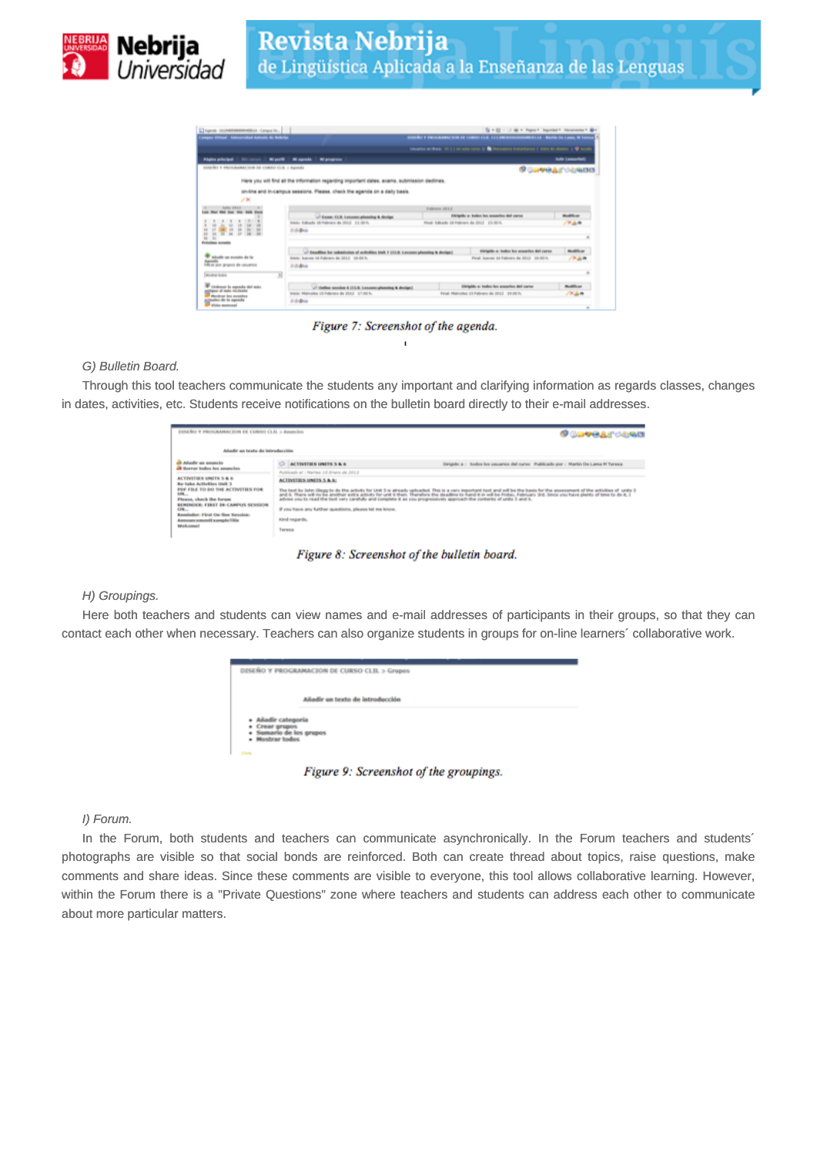



Figure 7: Screenshot of the agenda.

### G) Bulletin Board.

Through this tool teachers communicate the students any important and clarifying information as regards classes, changes in dates, activities, etc. Students receive notifications on the bulletin board directly to their e-mail addresses.

| DISEÑO Y PROGRAMACION DE CURSO CLEL > Anuncios                                                                                                                                                                                                                     |                                                                                                                         | <b>Gundardan</b>                                                                                                                                                                                                                                                                                                                                          |
|--------------------------------------------------------------------------------------------------------------------------------------------------------------------------------------------------------------------------------------------------------------------|-------------------------------------------------------------------------------------------------------------------------|-----------------------------------------------------------------------------------------------------------------------------------------------------------------------------------------------------------------------------------------------------------------------------------------------------------------------------------------------------------|
| Adustic un texto de introducción                                                                                                                                                                                                                                   |                                                                                                                         |                                                                                                                                                                                                                                                                                                                                                           |
| A Adustic un anuncio<br><b>CR Roycer bodies has amuncles</b>                                                                                                                                                                                                       | o<br><b>ACTIVITIES UNITS 5 &amp; 6</b><br>Publicado el / Harbes 10 Eriero de 2012                                       | Dirigido a : Itodos fos usuarios del curso I Publicado por : Martin De Lama IV Teresa                                                                                                                                                                                                                                                                     |
| <b>ACTIVITIES UNITS 5 &amp; 6</b><br>Bar-take Activities Unit 3<br>PDF FRE TO DO THE ACTIVITIES FOR<br>4,84<br>Please, check the forum<br>REMINDER: FIRST IN CANPUS SESSION<br>CFR<br>Regularizer: First Car-Saw Speedcar;<br>Announcement CompleTitle<br>Webcomet | <b>ACTIVITIES UNITS 5 &amp; 6:</b><br>If you have any further questions, please let me know.<br>Kind regards.<br>Teresa | The torl by lohn Gega to do the active tor United Steamboards. The is a very important tool will be the later that the second that is the assessment of the activities of united to the state of the state of the total in the<br>advise you to read the text very carefully and complete it as you progressively approach the contents of units 3 and 6. |

Figure 8: Screenshot of the bulletin board.

#### H) Groupings.

Here both teachers and students can view names and e-mail addresses of participants in their groups, so that they can contact each other when necessary. Teachers can also organize students in groups for on-line learners´ collaborative work.

|                                                              | DISEÑO Y PROGRAMACION DE CURSO CLIL > Grupos |
|--------------------------------------------------------------|----------------------------------------------|
|                                                              |                                              |
|                                                              | Añadir un texto de introducción              |
| · Añadir categoria                                           |                                              |
| · Crear grupos<br>· Sumario de los grupos<br>- Mostrar todos |                                              |
| <b>Clark</b>                                                 |                                              |

Figure 9: Screenshot of the groupings.

## I) Forum.

In the Forum, both students and teachers can communicate asynchronically. In the Forum teachers and students<sup>\*</sup> photographs are visible so that social bonds are reinforced. Both can create thread about topics, raise questions, make comments and share ideas. Since these comments are visible to everyone, this tool allows collaborative learning. However, within the Forum there is a "Private Questions" zone where teachers and students can address each other to communicate about more particular matters.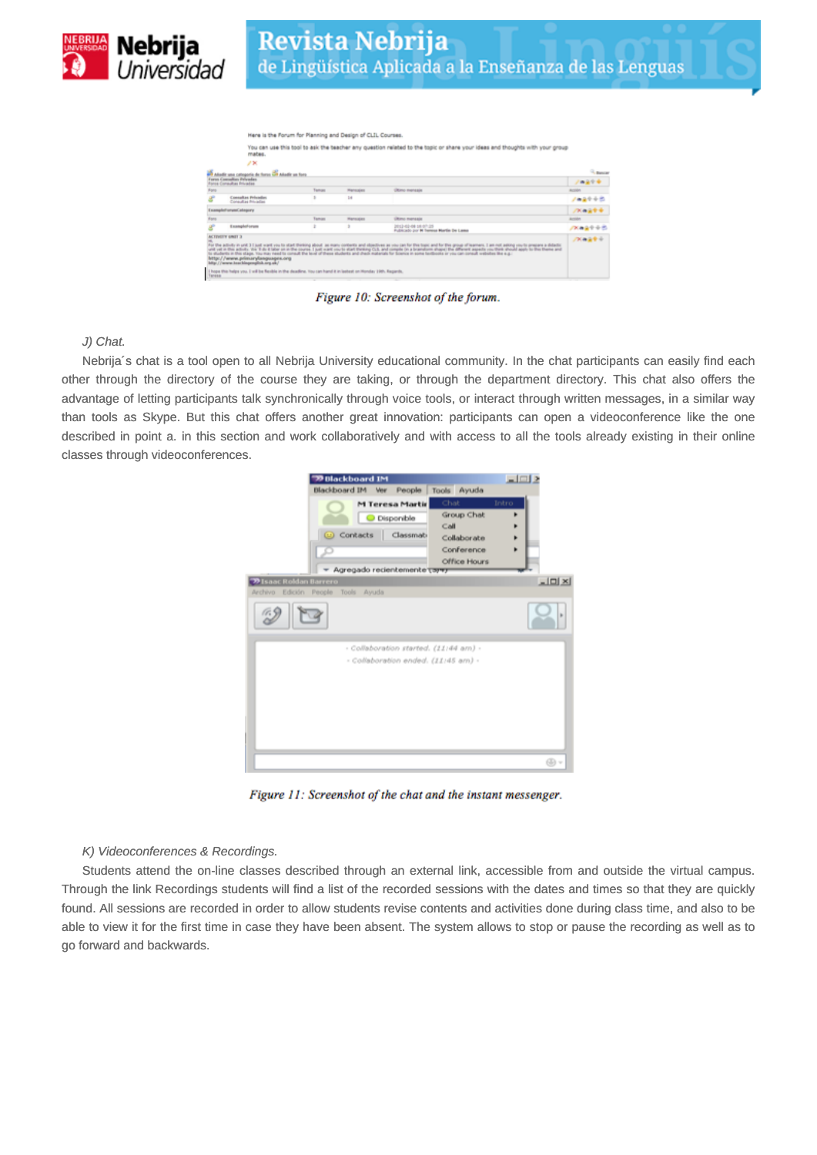

|             |                                                                                                                                                                                                                      | Here is the Forum for Planning and Design of CLIL Courses. |                 |                                                                                                                                                                                                                                                                                                                                                                                                                                                                                                                                                                                             |                    |
|-------------|----------------------------------------------------------------------------------------------------------------------------------------------------------------------------------------------------------------------|------------------------------------------------------------|-----------------|---------------------------------------------------------------------------------------------------------------------------------------------------------------------------------------------------------------------------------------------------------------------------------------------------------------------------------------------------------------------------------------------------------------------------------------------------------------------------------------------------------------------------------------------------------------------------------------------|--------------------|
|             | mates.                                                                                                                                                                                                               |                                                            |                 | You can use this tool to ask the teacher any question related to the topic or share your ideas and thoughts with your group                                                                                                                                                                                                                                                                                                                                                                                                                                                                 |                    |
|             | 2×                                                                                                                                                                                                                   |                                                            |                 |                                                                                                                                                                                                                                                                                                                                                                                                                                                                                                                                                                                             |                    |
|             | Anadir una categoria de furon con adeix un foro.                                                                                                                                                                     |                                                            |                 |                                                                                                                                                                                                                                                                                                                                                                                                                                                                                                                                                                                             | <sup>CL</sup> Rent |
|             | Fores Consultos Privades<br><b>Ronse Consultas Privadas</b>                                                                                                                                                          |                                                            |                 |                                                                                                                                                                                                                                                                                                                                                                                                                                                                                                                                                                                             | $2 - 29 + 4$       |
| Ford        |                                                                                                                                                                                                                      | Tempo                                                      | <b>Manager</b>  | <b>Ultimo menagie</b>                                                                                                                                                                                                                                                                                                                                                                                                                                                                                                                                                                       | ALCOHOL:           |
|             | <b>Consultas Privados</b><br>Consultas Privadas                                                                                                                                                                      | ٠                                                          | 14              |                                                                                                                                                                                                                                                                                                                                                                                                                                                                                                                                                                                             | ノーステック             |
|             | Example? sevent'alogory                                                                                                                                                                                              |                                                            |                 |                                                                                                                                                                                                                                                                                                                                                                                                                                                                                                                                                                                             | バルコサナ              |
| <b>Bans</b> |                                                                                                                                                                                                                      | Tamas                                                      | <b>Mansicks</b> | <b>Ultimo managia</b>                                                                                                                                                                                                                                                                                                                                                                                                                                                                                                                                                                       | Accident           |
|             | Excampled organ                                                                                                                                                                                                      | ż                                                          | s               | 2012-02-06 16:07:25<br>Fubicado por M Tenesa Martin De Lama                                                                                                                                                                                                                                                                                                                                                                                                                                                                                                                                 | 次に当たるき             |
| Tangaa      | ACTIVITY UNIT 3<br>http://www.primarylanguages.org<br>Migr. / Persons As an Mingangalloh, any alk/<br>I hope this helps you. I will be fieldlik in the deadline. You can hand it in lastest on Honday 19th. Regards, | $\sim$                                                     |                 | For the activity in unit 3 I just want you to start thinking about as many contents and slipe/lives as you can for this trapic and for this group of learners. I am not asking you to pregians a didactic<br>unit yet in this activity. Vis 1 do 8 later on in the course. I just want you to start thereing CLS, and comple (in a brandom shape) the different aspects you think should apply to their theore and<br>To students in this stage. You may need to consult the level of these students and check materials for Source in some terilioons or you can consult websites the e.g. | バルスサル              |

Figure 10: Screenshot of the forum.

## J) Chat.

Nebrija´s chat is a tool open to all Nebrija University educational community. In the chat participants can easily find each other through the directory of the course they are taking, or through the department directory. This chat also offers the advantage of letting participants talk synchronically through voice tools, or interact through written messages, in a similar way than tools as Skype. But this chat offers another great innovation: participants can open a videoconference like the one described in point a. in this section and work collaboratively and with access to all the tools already existing in their online classes through videoconferences.

| 29 Blackboard IM                                                                                  |                                                                         | $-1$ $-1$     |
|---------------------------------------------------------------------------------------------------|-------------------------------------------------------------------------|---------------|
| Blackboard IM Ver<br>People                                                                       | Tools Ayuda                                                             |               |
| <b>M Teresa Martir</b><br>C Disponible<br>© Contacts<br>Classmat-<br>Agregado recientemente carey | Chat<br>Group Chat<br>Call<br>Collaborate<br>Conference<br>Office Hours | Intro         |
| <b>29 Isaac Roldan Barrero</b>                                                                    |                                                                         | $\frac{1}{2}$ |
| Edición People Tools Ayuda<br>Archivo                                                             |                                                                         |               |
|                                                                                                   |                                                                         | ×             |
| - Collaboration started. (11:44 am) -<br>- Collaboration ended. (11:45 am) -                      |                                                                         |               |
|                                                                                                   |                                                                         | @ +           |

Figure 11: Screenshot of the chat and the instant messenger.

#### K) Videoconferences & Recordings.

Students attend the on-line classes described through an external link, accessible from and outside the virtual campus. Through the link Recordings students will find a list of the recorded sessions with the dates and times so that they are quickly found. All sessions are recorded in order to allow students revise contents and activities done during class time, and also to be able to view it for the first time in case they have been absent. The system allows to stop or pause the recording as well as to go forward and backwards.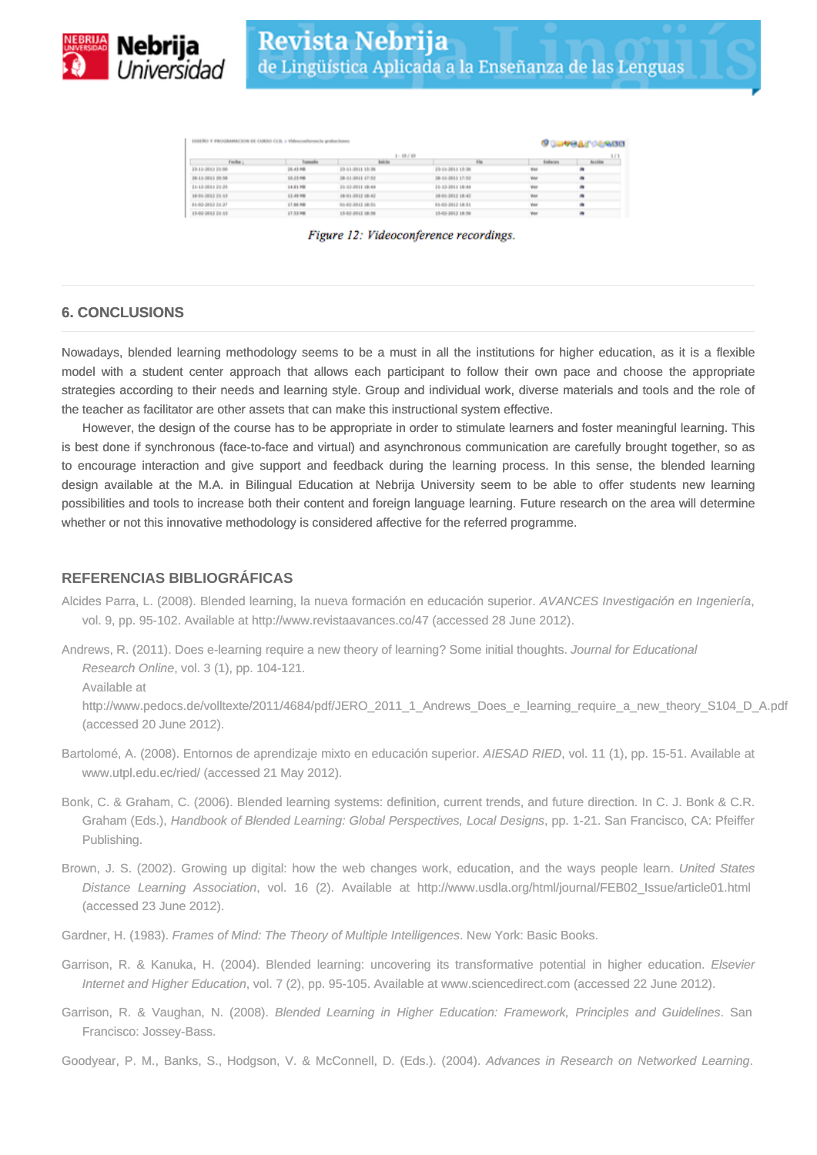

|                  | <b><i><u>BROGLE CENSIS</u></i></b> |                  |                  |         |          |
|------------------|------------------------------------|------------------|------------------|---------|----------|
|                  |                                    | 1.11             |                  |         |          |
| Focha ;          | <b><i><u>Remedie</u></i></b>       | <b>Indeline</b>  | $F =$            | Enhacen | Accident |
| 23-11-2011 21:00 | 26.43.98                           | 23-11-3011 15:36 | 23-15-2011 15:36 | Ver     |          |
| 38-11-2011 20:58 | 10.23.98                           | 38-51-3011 EF/82 | 28-11-2011 17:52 | View    |          |
| 31-12-2011 29:25 | 14.81.988                          | 21-12-2011 18:44 | 31-13-2011 18:04 | Vot     |          |
| 18-01-2012 21:13 | 13.49.988                          | 18-01-2012 18:42 | 18-01-2012 18-42 | Vox     |          |
| 01-03-2012 29:27 | 17.86.98                           | 0142-2012 18:16  | 01-02-2012 18:51 | Visi    |          |
| 15-02-2012 29:53 | 17.53.148                          | 15-62-2012 18:36 | 15-02-2012 18:56 | Vox     |          |

Figure 12: Videoconference recordings.

## **6. CONCLUSIONS**

Nowadays, blended learning methodology seems to be a must in all the institutions for higher education, as it is a flexible model with a student center approach that allows each participant to follow their own pace and choose the appropriate strategies according to their needs and learning style. Group and individual work, diverse materials and tools and the role of the teacher as facilitator are other assets that can make this instructional system effective.

However, the design of the course has to be appropriate in order to stimulate learners and foster meaningful learning. This is best done if synchronous (face-to-face and virtual) and asynchronous communication are carefully brought together, so as to encourage interaction and give support and feedback during the learning process. In this sense, the blended learning design available at the M.A. in Bilingual Education at Nebrija University seem to be able to offer students new learning possibilities and tools to increase both their content and foreign language learning. Future research on the area will determine whether or not this innovative methodology is considered affective for the referred programme.

## **REFERENCIAS BIBLIOGRÁFICAS**

- Alcides Parra, L. (2008). Blended learning, la nueva formación en educación superior. AVANCES Investigación en Ingeniería, vol. 9, pp. 95-102. Available at http://www.revistaavances.co/47 (accessed 28 June 2012).
- Andrews, R. (2011). Does e-learning require a new theory of learning? Some initial thoughts. Journal for Educational Research Online, vol. 3 (1), pp. 104-121.

Available at

http://www.pedocs.de/volltexte/2011/4684/pdf/JERO\_2011\_1\_Andrews\_Does\_e\_learning\_require\_a\_new\_theory\_S104\_D\_A.pdf (accessed 20 June 2012).

- Bartolomé, A. (2008). Entornos de aprendizaje mixto en educación superior. AIESAD RIED, vol. 11 (1), pp. 15-51. Available at www.utpl.edu.ec/ried/ (accessed 21 May 2012).
- Bonk, C. & Graham, C. (2006). Blended learning systems: definition, current trends, and future direction. In C. J. Bonk & C.R. Graham (Eds.), Handbook of Blended Learning: Global Perspectives, Local Designs, pp. 1-21. San Francisco, CA: Pfeiffer Publishing.
- Brown, J. S. (2002). Growing up digital: how the web changes work, education, and the ways people learn. United States Distance Learning Association, vol. 16 (2). Available at http://www.usdla.org/html/journal/FEB02\_Issue/article01.html (accessed 23 June 2012).
- Gardner, H. (1983). Frames of Mind: The Theory of Multiple Intelligences. New York: Basic Books.
- Garrison, R. & Kanuka, H. (2004). Blended learning: uncovering its transformative potential in higher education. Elsevier Internet and Higher Education, vol. 7 (2), pp. 95-105. Available at www.sciencedirect.com (accessed 22 June 2012).
- Garrison, R. & Vaughan, N. (2008). Blended Learning in Higher Education: Framework, Principles and Guidelines. San Francisco: Jossey-Bass.

Goodyear, P. M., Banks, S., Hodgson, V. & McConnell, D. (Eds.). (2004). Advances in Research on Networked Learning.